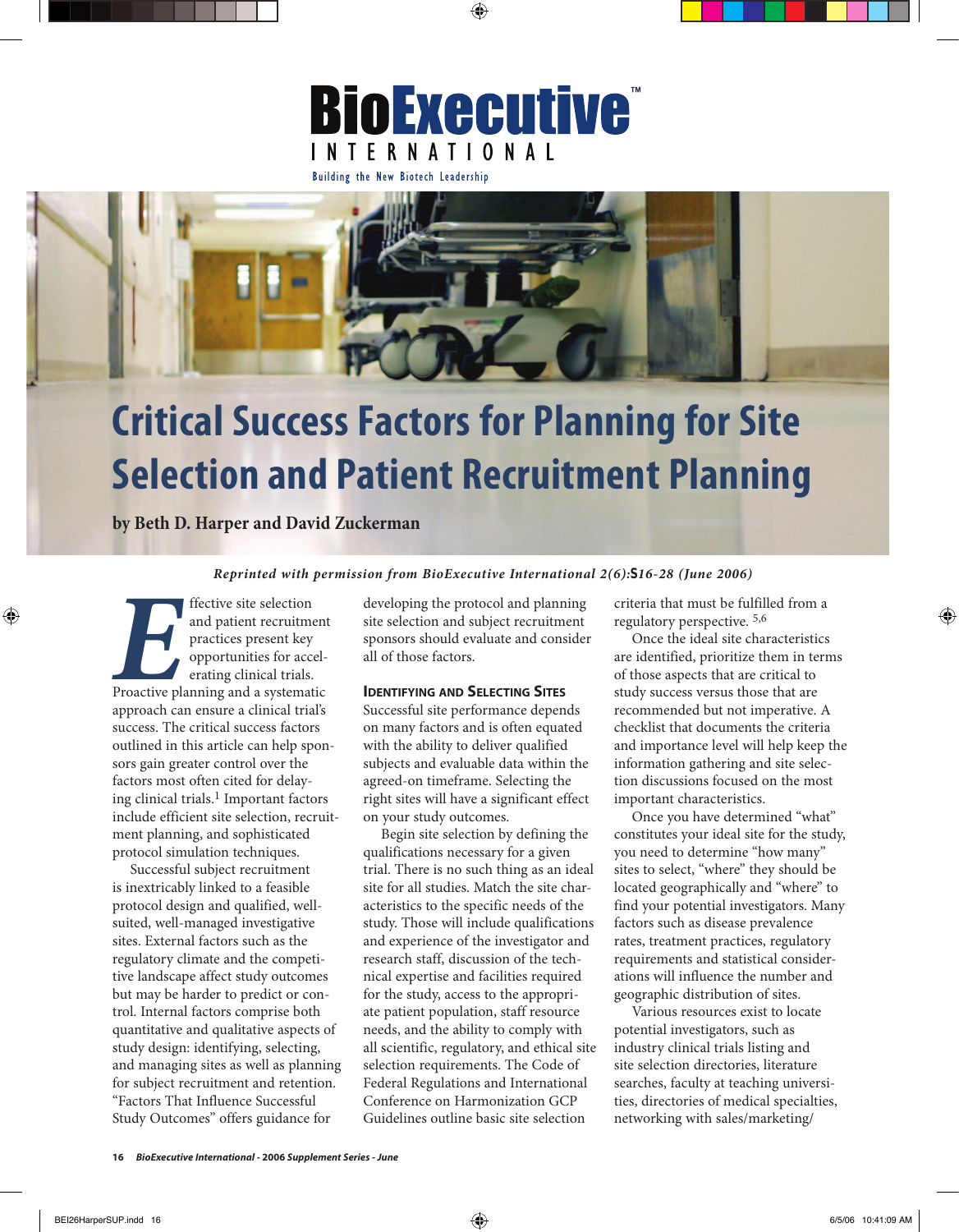# **BioExecutive®** I N T E R N A T I O N A L

Building the New Biotech Leadership



# **Critical Success Factors for Planning for Site Selection and Patient Recruitment Planning**

**by Beth D. Harper and David Zuckerman**

#### *Reprinted with permission from BioExecutive International 2(6):S16-28 (June 2006)*

Frective site selection<br>
and patient recruitme<br>
practices present key<br>
opportunities for acce<br>
erating clinical trials.<br>
Proactive planning and a systemat<br>
approach can ensure a clinical tria and patient recruitment practices present key opportunities for accelerating clinical trials. Proactive planning and a systematic approach can ensure a clinical trial's success. The critical success factors outlined in this article can help sponsors gain greater control over the factors most often cited for delaying clinical trials.<sup>1</sup> Important factors include efficient site selection, recruitment planning, and sophisticated protocol simulation techniques.

Successful subject recruitment is inextricably linked to a feasible protocol design and qualified, wellsuited, well-managed investigative sites. External factors such as the regulatory climate and the competitive landscape affect study outcomes but may be harder to predict or control. Internal factors comprise both quantitative and qualitative aspects of study design: identifying, selecting, and managing sites as well as planning for subject recruitment and retention. "Factors That Influence Successful Study Outcomes" offers guidance for

developing the protocol and planning site selection and subject recruitment sponsors should evaluate and consider all of those factors.

#### **IDENTIFYING AND SELECTING SITES**

Successful site performance depends on many factors and is often equated with the ability to deliver qualified subjects and evaluable data within the agreed-on timeframe. Selecting the right sites will have a significant effect on your study outcomes.

Begin site selection by defining the qualifications necessary for a given trial. There is no such thing as an ideal site for all studies. Match the site characteristics to the specific needs of the study. Those will include qualifications and experience of the investigator and research staff, discussion of the technical expertise and facilities required for the study, access to the appropriate patient population, staff resource needs, and the ability to comply with all scientific, regulatory, and ethical site selection requirements. The Code of Federal Regulations and International Conference on Harmonization GCP Guidelines outline basic site selection

criteria that must be fulfilled from a regulatory perspective. 5,6

Once the ideal site characteristics are identified, prioritize them in terms of those aspects that are critical to study success versus those that are recommended but not imperative. A checklist that documents the criteria and importance level will help keep the information gathering and site selection discussions focused on the most important characteristics.

Once you have determined "what" constitutes your ideal site for the study, you need to determine "how many" sites to select, "where" they should be located geographically and "where" to find your potential investigators. Many factors such as disease prevalence rates, treatment practices, regulatory requirements and statistical considerations will influence the number and geographic distribution of sites.

Various resources exist to locate potential investigators, such as industry clinical trials listing and site selection directories, literature searches, faculty at teaching universities, directories of medical specialties, networking with sales/marketing/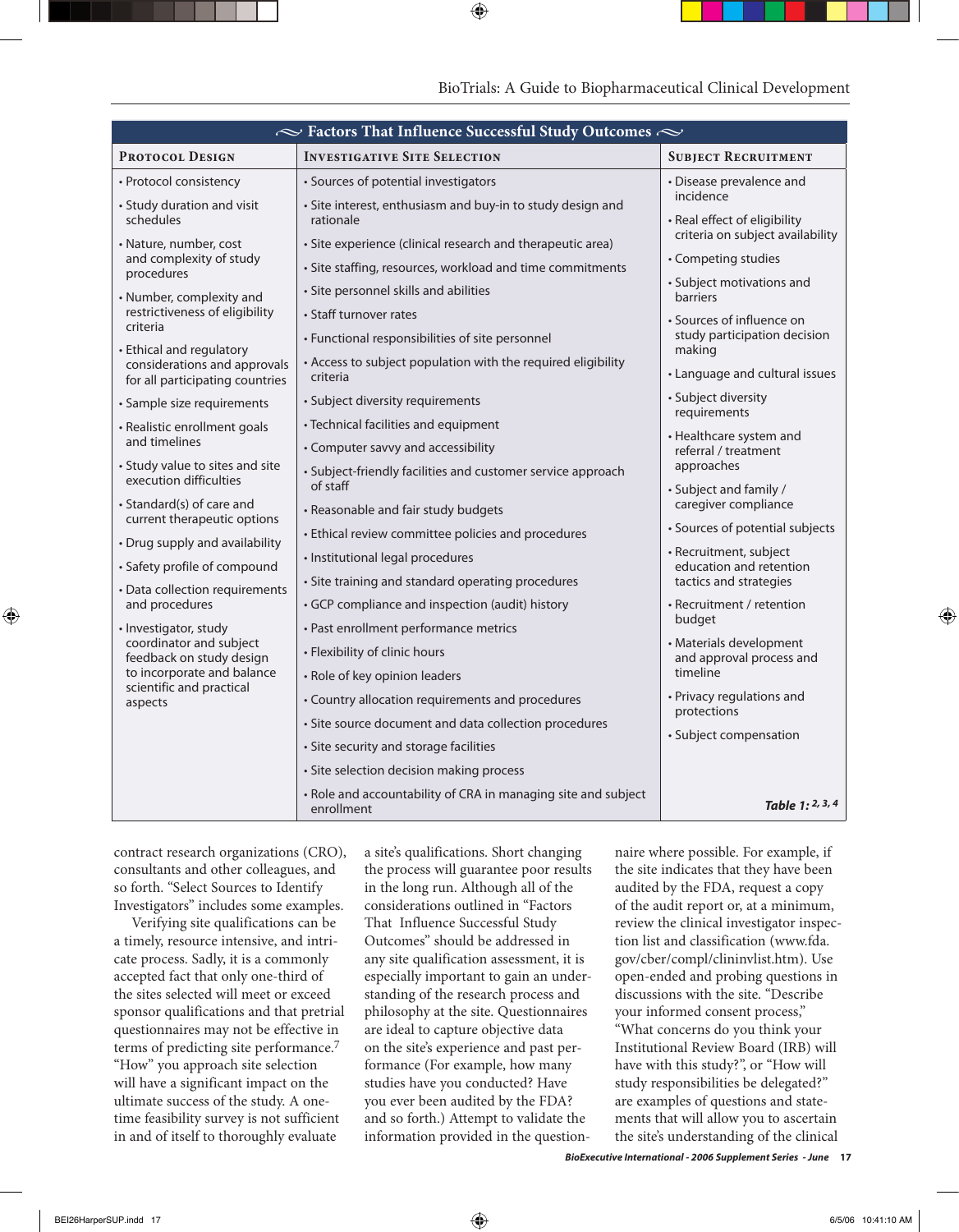| $\sim$ Factors That Influence Successful Study Outcomes $\sim$                                                                                                        |                                                                             |                                                                                                                                       |  |
|-----------------------------------------------------------------------------------------------------------------------------------------------------------------------|-----------------------------------------------------------------------------|---------------------------------------------------------------------------------------------------------------------------------------|--|
| <b>PROTOCOL DESIGN</b>                                                                                                                                                | <b>INVESTIGATIVE SITE SELECTION</b>                                         | <b>SUBJECT RECRUITMENT</b>                                                                                                            |  |
| • Protocol consistency                                                                                                                                                | · Sources of potential investigators                                        | • Disease prevalence and                                                                                                              |  |
| • Study duration and visit<br>schedules                                                                                                                               | · Site interest, enthusiasm and buy-in to study design and<br>rationale     | incidence<br>• Real effect of eligibility                                                                                             |  |
| · Nature, number, cost<br>and complexity of study<br>procedures                                                                                                       | · Site experience (clinical research and therapeutic area)                  | criteria on subject availability                                                                                                      |  |
|                                                                                                                                                                       | · Site staffing, resources, workload and time commitments                   | • Competing studies                                                                                                                   |  |
| • Number, complexity and<br>restrictiveness of eligibility<br>criteria<br>• Ethical and regulatory<br>considerations and approvals<br>for all participating countries | · Site personnel skills and abilities                                       | • Subject motivations and<br>barriers                                                                                                 |  |
|                                                                                                                                                                       | • Staff turnover rates                                                      | • Sources of influence on<br>study participation decision<br>making                                                                   |  |
|                                                                                                                                                                       | • Functional responsibilities of site personnel                             |                                                                                                                                       |  |
|                                                                                                                                                                       | • Access to subject population with the required eligibility<br>criteria    | • Language and cultural issues                                                                                                        |  |
| • Sample size requirements                                                                                                                                            | · Subject diversity requirements                                            | • Subject diversity                                                                                                                   |  |
| • Realistic enrollment goals<br>and timelines                                                                                                                         | · Technical facilities and equipment                                        | requirements<br>• Healthcare system and<br>referral / treatment<br>approaches                                                         |  |
|                                                                                                                                                                       | • Computer savvy and accessibility                                          |                                                                                                                                       |  |
| • Study value to sites and site<br>execution difficulties                                                                                                             | · Subject-friendly facilities and customer service approach<br>of staff     |                                                                                                                                       |  |
| • Standard(s) of care and                                                                                                                                             | • Reasonable and fair study budgets                                         | • Subject and family /<br>caregiver compliance                                                                                        |  |
| current therapeutic options                                                                                                                                           | • Ethical review committee policies and procedures                          | • Sources of potential subjects                                                                                                       |  |
| • Drug supply and availability<br>· Safety profile of compound<br>• Data collection requirements<br>and procedures                                                    | · Institutional legal procedures                                            | • Recruitment, subject<br>education and retention<br>tactics and strategies<br>• Recruitment / retention<br>budget                    |  |
|                                                                                                                                                                       | • Site training and standard operating procedures                           |                                                                                                                                       |  |
|                                                                                                                                                                       | • GCP compliance and inspection (audit) history                             |                                                                                                                                       |  |
| · Investigator, study<br>coordinator and subject<br>feedback on study design<br>to incorporate and balance<br>scientific and practical<br>aspects                     | • Past enrollment performance metrics                                       |                                                                                                                                       |  |
|                                                                                                                                                                       | • Flexibility of clinic hours                                               | • Materials development<br>and approval process and<br>timeline<br>• Privacy regulations and<br>protections<br>· Subject compensation |  |
|                                                                                                                                                                       | • Role of key opinion leaders                                               |                                                                                                                                       |  |
|                                                                                                                                                                       | • Country allocation requirements and procedures                            |                                                                                                                                       |  |
|                                                                                                                                                                       |                                                                             |                                                                                                                                       |  |
|                                                                                                                                                                       | · Site source document and data collection procedures                       |                                                                                                                                       |  |
|                                                                                                                                                                       | · Site security and storage facilities                                      |                                                                                                                                       |  |
|                                                                                                                                                                       | · Site selection decision making process                                    |                                                                                                                                       |  |
|                                                                                                                                                                       | • Role and accountability of CRA in managing site and subject<br>enrollment | Table 1: 2, 3, 4                                                                                                                      |  |

contract research organizations (CRO), consultants and other colleagues, and so forth. "Select Sources to Identify Investigators" includes some examples.

Verifying site qualifications can be a timely, resource intensive, and intricate process. Sadly, it is a commonly accepted fact that only one-third of the sites selected will meet or exceed sponsor qualifications and that pretrial questionnaires may not be effective in terms of predicting site performance.7 "How" you approach site selection will have a significant impact on the ultimate success of the study. A onetime feasibility survey is not sufficient in and of itself to thoroughly evaluate

a site's qualifications. Short changing the process will guarantee poor results in the long run. Although all of the considerations outlined in "Factors That Influence Successful Study Outcomes" should be addressed in any site qualification assessment, it is especially important to gain an understanding of the research process and philosophy at the site. Questionnaires are ideal to capture objective data on the site's experience and past performance (For example, how many studies have you conducted? Have you ever been audited by the FDA? and so forth.) Attempt to validate the information provided in the questionnaire where possible. For example, if the site indicates that they have been audited by the FDA, request a copy of the audit report or, at a minimum, review the clinical investigator inspection list and classification (www.fda. gov/cber/compl/clininvlist.htm). Use open-ended and probing questions in discussions with the site. "Describe your informed consent process," "What concerns do you think your Institutional Review Board (IRB) will have with this study?", or "How will study responsibilities be delegated?" are examples of questions and statements that will allow you to ascertain the site's understanding of the clinical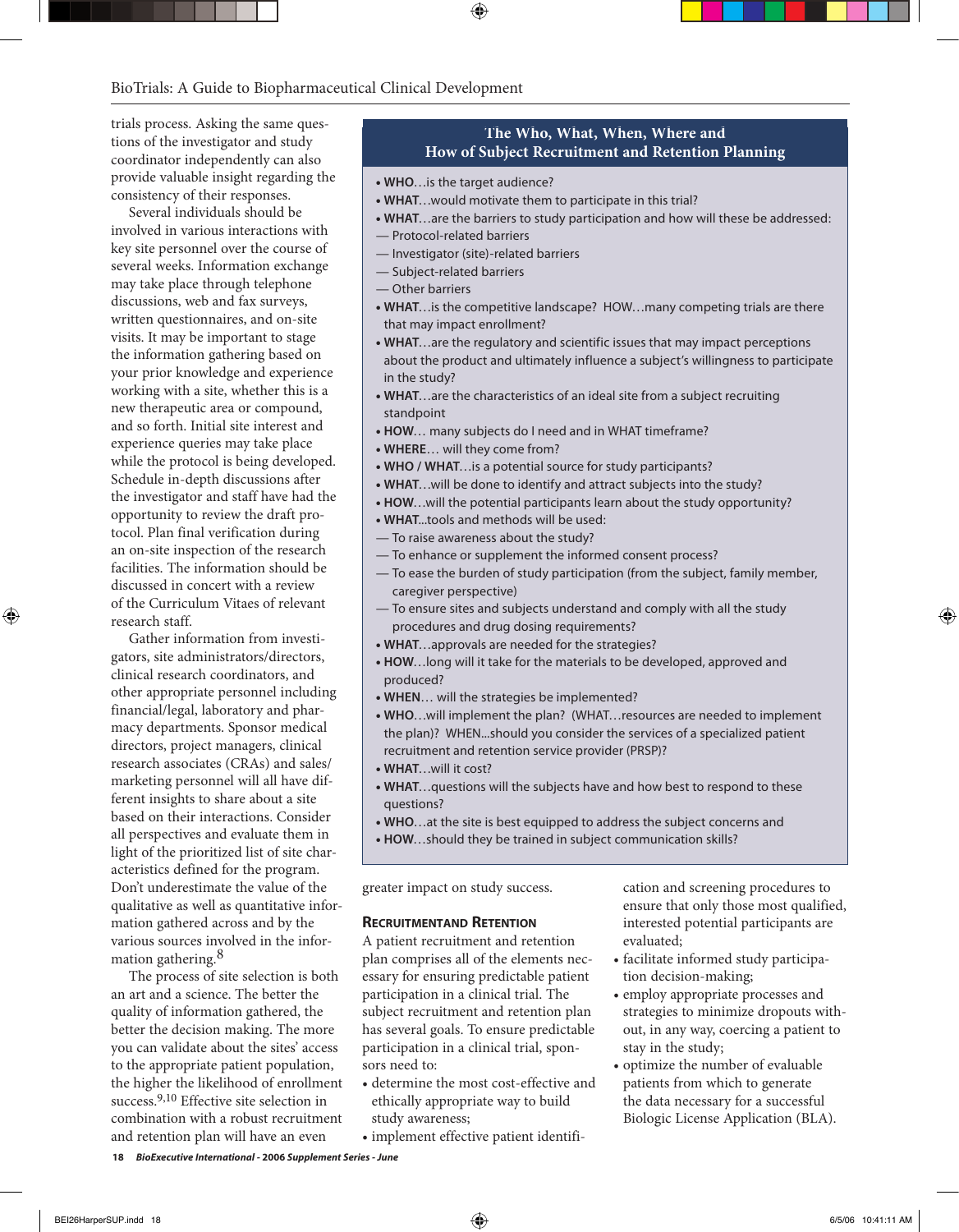trials process. Asking the same questions of the investigator and study coordinator independently can also provide valuable insight regarding the consistency of their responses.

Several individuals should be involved in various interactions with key site personnel over the course of several weeks. Information exchange may take place through telephone discussions, web and fax surveys, written questionnaires, and on-site visits. It may be important to stage the information gathering based on your prior knowledge and experience working with a site, whether this is a new therapeutic area or compound, and so forth. Initial site interest and experience queries may take place while the protocol is being developed. Schedule in-depth discussions after the investigator and staff have had the opportunity to review the draft protocol. Plan final verification during an on-site inspection of the research facilities. The information should be discussed in concert with a review of the Curriculum Vitaes of relevant research staff.

Gather information from investigators, site administrators/directors, clinical research coordinators, and other appropriate personnel including financial/legal, laboratory and pharmacy departments. Sponsor medical directors, project managers, clinical research associates (CRAs) and sales/ marketing personnel will all have different insights to share about a site based on their interactions. Consider all perspectives and evaluate them in light of the prioritized list of site characteristics defined for the program. Don't underestimate the value of the qualitative as well as quantitative information gathered across and by the various sources involved in the information gathering.<sup>8</sup>

The process of site selection is both an art and a science. The better the quality of information gathered, the better the decision making. The more you can validate about the sites' access to the appropriate patient population, the higher the likelihood of enrollment success.9,10 Effective site selection in combination with a robust recruitment and retention plan will have an even

### **The Who, What, When, Where and How of Subject Recruitment and Retention Planning**

- **WHO**…is the target audience?
- **WHAT**…would motivate them to participate in this trial?
- **WHAT**…are the barriers to study participation and how will these be addressed:
- Protocol-related barriers
- Investigator (site)-related barriers
- Subject-related barriers
- Other barriers
- **WHAT**…is the competitive landscape? HOW…many competing trials are there that may impact enrollment?
- **WHAT**…are the regulatory and scientific issues that may impact perceptions about the product and ultimately influence a subject's willingness to participate in the study?
- **WHAT**…are the characteristics of an ideal site from a subject recruiting standpoint
- **HOW**… many subjects do I need and in WHAT timeframe?
- **WHERE**… will they come from?
- **WHO / WHAT**…is a potential source for study participants?
- **WHAT**…will be done to identify and attract subjects into the study?
- **HOW**…will the potential participants learn about the study opportunity?
- **WHAT**...tools and methods will be used:
- To raise awareness about the study?
- To enhance or supplement the informed consent process?
- To ease the burden of study participation (from the subject, family member, caregiver perspective)
- To ensure sites and subjects understand and comply with all the study procedures and drug dosing requirements?
- **WHAT**…approvals are needed for the strategies?
- **HOW**…long will it take for the materials to be developed, approved and produced?
- **WHEN**… will the strategies be implemented?
- **WHO**…will implement the plan? (WHAT…resources are needed to implement the plan)? WHEN...should you consider the services of a specialized patient recruitment and retention service provider (PRSP)?
- **WHAT**…will it cost?
- **WHAT**…questions will the subjects have and how best to respond to these questions?
- **WHO**…at the site is best equipped to address the subject concerns and
- **HOW**…should they be trained in subject communication skills?

greater impact on study success.

#### **RECRUITMENTAND RETENTION**

A patient recruitment and retention plan comprises all of the elements necessary for ensuring predictable patient participation in a clinical trial. The subject recruitment and retention plan has several goals. To ensure predictable participation in a clinical trial, sponsors need to:

- determine the most cost-effective and ethically appropriate way to build study awareness;
- implement effective patient identifi-

cation and screening procedures to ensure that only those most qualified, interested potential participants are evaluated;

- facilitate informed study participation decision-making;
- employ appropriate processes and strategies to minimize dropouts without, in any way, coercing a patient to stay in the study;
- optimize the number of evaluable patients from which to generate the data necessary for a successful Biologic License Application (BLA).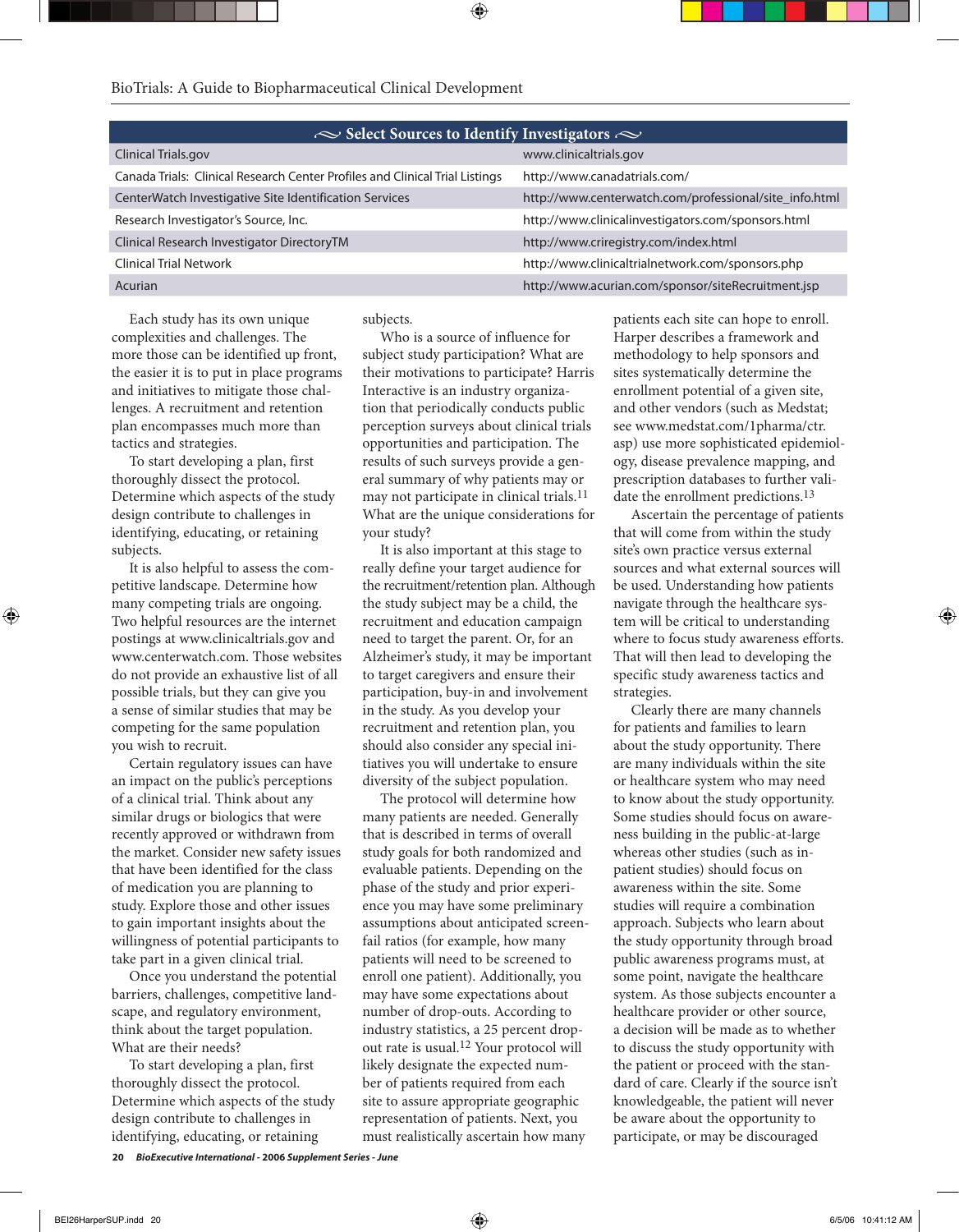| $\sim$ Select Sources to Identify Investigators $\sim$                       |                                                        |  |
|------------------------------------------------------------------------------|--------------------------------------------------------|--|
| Clinical Trials.gov                                                          | www.clinicaltrials.gov                                 |  |
| Canada Trials: Clinical Research Center Profiles and Clinical Trial Listings | http://www.canadatrials.com/                           |  |
| CenterWatch Investigative Site Identification Services                       | http://www.centerwatch.com/professional/site_info.html |  |
| Research Investigator's Source, Inc.                                         | http://www.clinicalinvestigators.com/sponsors.html     |  |
| Clinical Research Investigator DirectoryTM                                   | http://www.criregistry.com/index.html                  |  |
| <b>Clinical Trial Network</b>                                                | http://www.clinicaltrialnetwork.com/sponsors.php       |  |
| Acurian                                                                      | http://www.acurian.com/sponsor/siteRecruitment.jsp     |  |

Each study has its own unique complexities and challenges. The more those can be identified up front, the easier it is to put in place programs and initiatives to mitigate those challenges. A recruitment and retention plan encompasses much more than tactics and strategies.

To start developing a plan, first thoroughly dissect the protocol. Determine which aspects of the study design contribute to challenges in identifying, educating, or retaining subjects.

It is also helpful to assess the competitive landscape. Determine how many competing trials are ongoing. Two helpful resources are the internet postings at www.clinicaltrials.gov and www.centerwatch.com. Those websites do not provide an exhaustive list of all possible trials, but they can give you a sense of similar studies that may be competing for the same population you wish to recruit.

Certain regulatory issues can have an impact on the public's perceptions of a clinical trial. Think about any similar drugs or biologics that were recently approved or withdrawn from the market. Consider new safety issues that have been identified for the class of medication you are planning to study. Explore those and other issues to gain important insights about the willingness of potential participants to take part in a given clinical trial.

Once you understand the potential barriers, challenges, competitive landscape, and regulatory environment, think about the target population. What are their needs?

To start developing a plan, first thoroughly dissect the protocol. Determine which aspects of the study design contribute to challenges in identifying, educating, or retaining

subjects.

Who is a source of influence for subject study participation? What are their motivations to participate? Harris Interactive is an industry organization that periodically conducts public perception surveys about clinical trials opportunities and participation. The results of such surveys provide a general summary of why patients may or may not participate in clinical trials.<sup>11</sup> What are the unique considerations for your study?

It is also important at this stage to really define your target audience for the recruitment/retention plan. Although the study subject may be a child, the recruitment and education campaign need to target the parent. Or, for an Alzheimer's study, it may be important to target caregivers and ensure their participation, buy-in and involvement in the study. As you develop your recruitment and retention plan, you should also consider any special initiatives you will undertake to ensure diversity of the subject population.

The protocol will determine how many patients are needed. Generally that is described in terms of overall study goals for both randomized and evaluable patients. Depending on the phase of the study and prior experience you may have some preliminary assumptions about anticipated screenfail ratios (for example, how many patients will need to be screened to enroll one patient). Additionally, you may have some expectations about number of drop-outs. According to industry statistics, a 25 percent dropout rate is usual.12 Your protocol will likely designate the expected number of patients required from each site to assure appropriate geographic representation of patients. Next, you must realistically ascertain how many

patients each site can hope to enroll. Harper describes a framework and methodology to help sponsors and sites systematically determine the enrollment potential of a given site, and other vendors (such as Medstat; see www.medstat.com/1pharma/ctr. asp) use more sophisticated epidemiology, disease prevalence mapping, and prescription databases to further validate the enrollment predictions.<sup>13</sup>

Ascertain the percentage of patients that will come from within the study site's own practice versus external sources and what external sources will be used. Understanding how patients navigate through the healthcare system will be critical to understanding where to focus study awareness efforts. That will then lead to developing the specific study awareness tactics and strategies.

Clearly there are many channels for patients and families to learn about the study opportunity. There are many individuals within the site or healthcare system who may need to know about the study opportunity. Some studies should focus on awareness building in the public-at-large whereas other studies (such as inpatient studies) should focus on awareness within the site. Some studies will require a combination approach. Subjects who learn about the study opportunity through broad public awareness programs must, at some point, navigate the healthcare system. As those subjects encounter a healthcare provider or other source, a decision will be made as to whether to discuss the study opportunity with the patient or proceed with the standard of care. Clearly if the source isn't knowledgeable, the patient will never be aware about the opportunity to participate, or may be discouraged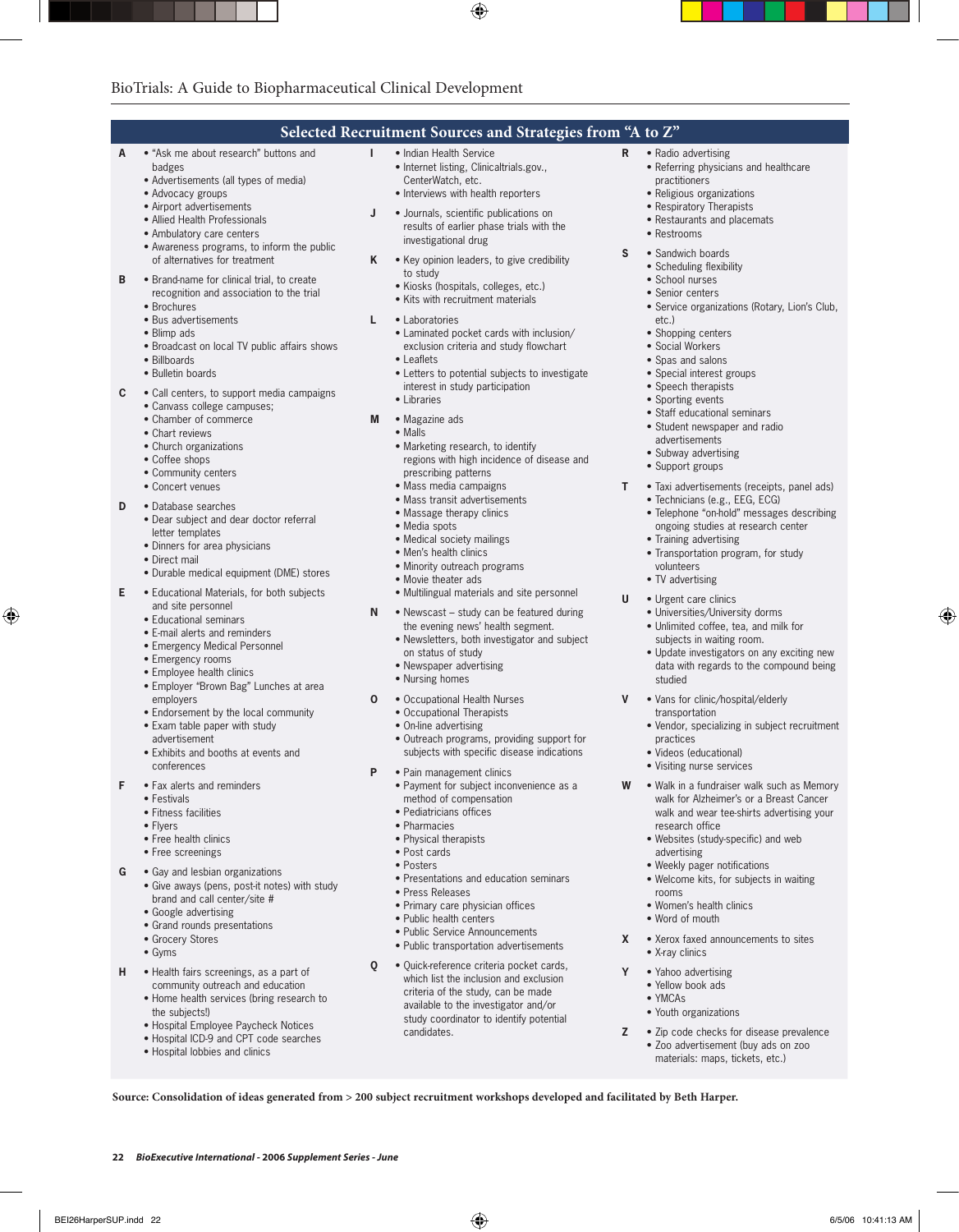## **Selected Recruitment Sources and Strategies from "A to Z"**

**R** • Radio advertising

• Restrooms **S** • Sandwich boards • Scheduling flexibility • School nurses • Senior centers

> etc.) • Shopping centers • Social Workers • Spas and salons • Special interest groups • Speech therapists • Sporting events • Staff educational seminars • Student newspaper and radio

advertisements • Subway advertising • Support groups

• Training advertising

volunteers • TV advertising **U** • Urgent care clinics

studied

practices • Videos (educational) • Visiting nurse services

research office

advertising

rooms

• X-ray clinics **Y** • Yahoo advertising • Yellow book ads • YMCAs

**T** • Taxi advertisements (receipts, panel ads) • Technicians (e.g., EEG, ECG)

• Transportation program, for study

• Universities/University dorms • Unlimited coffee, tea, and milk for subjects in waiting room.

**V** • Vans for clinic/hospital/elderly transportation

• Telephone "on-hold" messages describing ongoing studies at research center

• Update investigators on any exciting new data with regards to the compound being

• Vendor, specializing in subject recruitment

**W** • Walk in a fundraiser walk such as Memory walk for Alzheimer's or a Breast Cancer walk and wear tee-shirts advertising your

• Websites (study-specific) and web

• Weekly pager notifications • Welcome kits, for subjects in waiting

**X** • Xerox faxed announcements to sites

**Z** • Zip code checks for disease prevalence • Zoo advertisement (buy ads on zoo materials: maps, tickets, etc.)

• Women's health clinics • Word of mouth

• Youth organizations

practitioners • Religious organizations • Respiratory Therapists • Restaurants and placemats

• Referring physicians and healthcare

• Service organizations (Rotary, Lion's Club,

- **A** "Ask me about research" buttons and badges
	- Advertisements (all types of media)
	- Advocacy groups
	- Airport advertisements
	- Allied Health Professionals
	- Ambulatory care centers • Awareness programs, to inform the public of alternatives for treatment
- **B** Brand-name for clinical trial, to create recognition and association to the trial
	- Brochures
	- Bus advertisements
	- Blimp ads
	- Broadcast on local TV public affairs shows
	- Billboards
	- Bulletin boards
- **C** Call centers, to support media campaigns
	- Canvass college campuses;
	- Chamber of commerce
	- Chart reviews
	- Church organizations
	- Coffee shops
	- Community centers
	- Concert venues
- **D** Database searches
	- Dear subject and dear doctor referral letter templates
	- Dinners for area physicians
	- Direct mail
	- Durable medical equipment (DME) stores
- **E** Educational Materials, for both subjects
	- and site personnel
	- Educational seminars
	- E-mail alerts and reminders
	- Emergency Medical Personnel
	- Emergency rooms
	- Employee health clinics
	- Employer "Brown Bag" Lunches at area employers
	- Endorsement by the local community
	- Exam table paper with study advertisement
	- Exhibits and booths at events and conferences
- **F** Fax alerts and reminders
	- Festivals
	- Fitness facilities
	- Flyers
	- Free health clinics
	- Free screenings
- **G** Gay and lesbian organizations
	- Give aways (pens, post-it notes) with study brand and call center/site #
	- Google advertising
	- Grand rounds presentations
	- Grocery Stores
	- Gyms
- **H** Health fairs screenings, as a part of
	- community outreach and education • Home health services (bring research to the subjects!)
	- Hospital Employee Paycheck Notices
	- Hospital ICD-9 and CPT code searches

**22 BioExecutive International - 2006 Supplement Series - June**

• Hospital lobbies and clinics

- **I** Indian Health Service • Internet listing, Clinicaltrials.gov.,
	- CenterWatch, etc.
	- Interviews with health reporters
- **J** Journals, scientific publications on results of earlier phase trials with the investigational drug
- **K** Key opinion leaders, to give credibility to study
	- Kiosks (hospitals, colleges, etc.)
	- Kits with recruitment materials
- **L** Laboratories
	- Laminated pocket cards with inclusion/ exclusion criteria and study flowchart
	- Leaflets
	- Letters to potential subjects to investigate interest in study participation
	- Libraries
- **M** Magazine ads
	- Malls
		- Marketing research, to identify regions with high incidence of disease and prescribing patterns
		- Mass media campaigns
	- Mass transit advertisements
	- Massage therapy clinics
	- Media spots
	- Medical society mailings
	- Men's health clinics
	- Minority outreach programs
	- Movie theater ads
	- Multilingual materials and site personnel
- **N** Newscast study can be featured during the evening news' health segment.
	- Newsletters, both investigator and subject on status of study
	- Newspaper advertising
	- Nursing homes
- **O** Occupational Health Nurses
	- Occupational Therapists
	- On-line advertising
	- Outreach programs, providing support for subjects with specific disease indications
- **P** Pain management clinics
	- Payment for subject inconvenience as a method of compensation
	- Pediatricians offices
	- Pharmacies
	- Physical therapists
	- Post cards
	- Posters
	- Presentations and education seminars
	- Press Releases

candidates.

**Source: Consolidation of ideas generated from > 200 subject recruitment workshops developed and facilitated by Beth Harper.** 

- Primary care physician offices
- Public health centers
- Public Service Announcements • Public transportation advertisements

**Q** • Quick-reference criteria pocket cards, which list the inclusion and exclusion criteria of the study, can be made available to the investigator and/or study coordinator to identify potential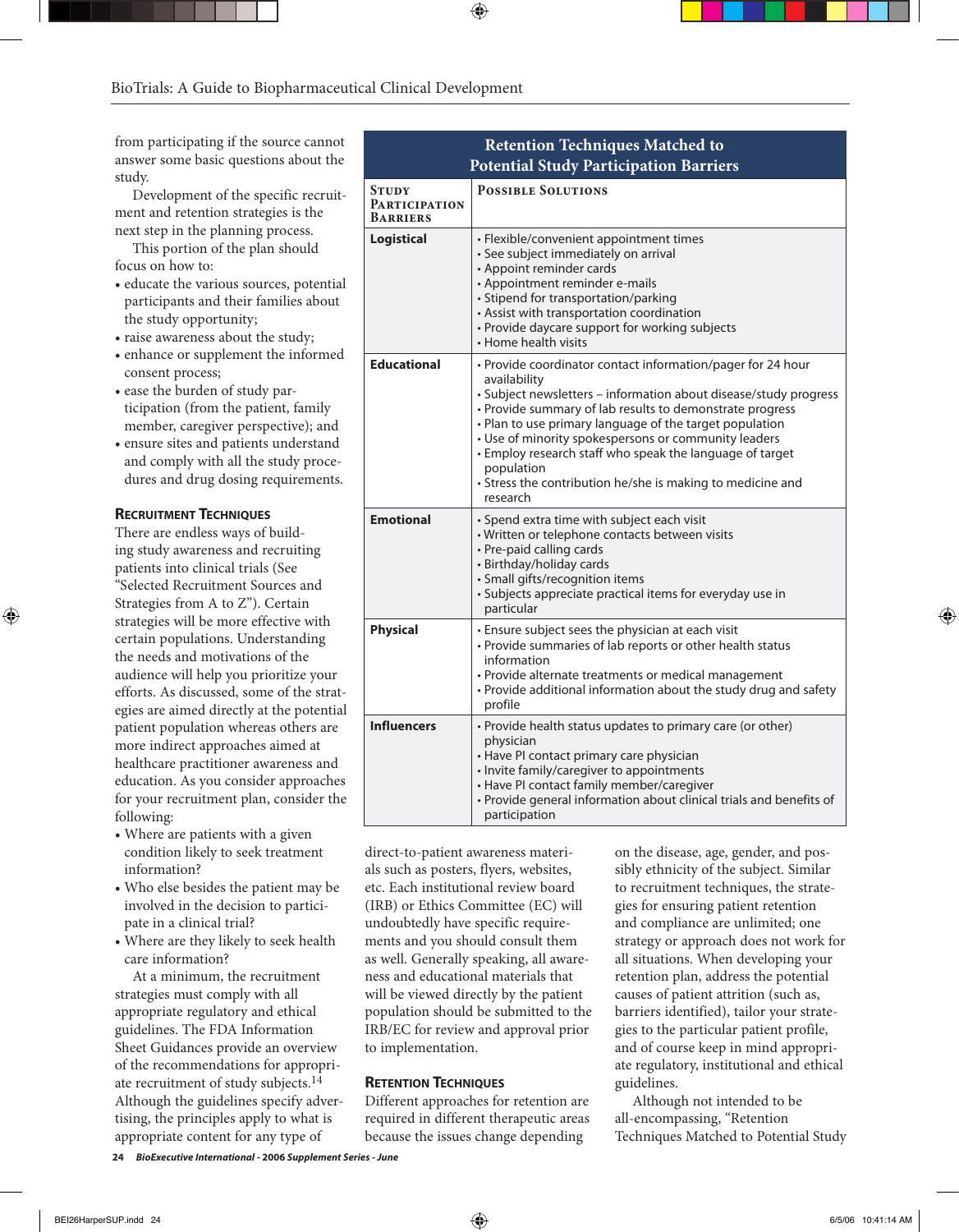from participating if the source cannot answer some basic questions about the study.

Development of the specific recruitment and retention strategies is the next step in the planning process.

This portion of the plan should focus on how to:

- educate the various sources, potential participants and their families about the study opportunity;
- raise awareness about the study;
- enhance or supplement the informed consent process;
- ease the burden of study participation (from the patient, family member, caregiver perspective); and
- ensure sites and patients understand and comply with all the study procedures and drug dosing requirements.

#### **RECRUITMENT TECHNIQUES**

There are endless ways of building study awareness and recruiting patients into clinical trials (See "Selected Recruitment Sources and Strategies from A to Z"). Certain strategies will be more effective with certain populations. Understanding the needs and motivations of the audience will help you prioritize your efforts. As discussed, some of the strategies are aimed directly at the potential patient population whereas others are more indirect approaches aimed at healthcare practitioner awareness and education. As you consider approaches for your recruitment plan, consider the following:

- Where are patients with a given condition likely to seek treatment information?
- Who else besides the patient may be involved in the decision to participate in a clinical trial?
- Where are they likely to seek health care information?

At a minimum, the recruitment strategies must comply with all appropriate regulatory and ethical guidelines. The FDA Information Sheet Guidances provide an overview of the recommendations for appropriate recruitment of study subjects.<sup>14</sup> Although the guidelines specify advertising, the principles apply to what is appropriate content for any type of

| <b>Retention Techniques Matched to</b><br><b>Potential Study Participation Barriers</b> |                                                                                                                                                                                                                                                                                                                                                                                                                                                                                    |  |
|-----------------------------------------------------------------------------------------|------------------------------------------------------------------------------------------------------------------------------------------------------------------------------------------------------------------------------------------------------------------------------------------------------------------------------------------------------------------------------------------------------------------------------------------------------------------------------------|--|
| STUDY<br><b>PARTICIPATION</b><br><b>BARRIERS</b>                                        | <b>POSSIBLE SOLUTIONS</b>                                                                                                                                                                                                                                                                                                                                                                                                                                                          |  |
| Logistical                                                                              | · Flexible/convenient appointment times<br>· See subject immediately on arrival<br>• Appoint reminder cards<br>• Appointment reminder e-mails<br>• Stipend for transportation/parking<br>• Assist with transportation coordination<br>• Provide daycare support for working subjects<br>• Home health visits                                                                                                                                                                       |  |
| <b>Educational</b>                                                                      | • Provide coordinator contact information/pager for 24 hour<br>availability<br>• Subject newsletters – information about disease/study progress<br>• Provide summary of lab results to demonstrate progress<br>• Plan to use primary language of the target population<br>• Use of minority spokespersons or community leaders<br>• Employ research staff who speak the language of target<br>population<br>• Stress the contribution he/she is making to medicine and<br>research |  |
| <b>Emotional</b>                                                                        | • Spend extra time with subject each visit<br>· Written or telephone contacts between visits<br>• Pre-paid calling cards<br>• Birthday/holiday cards<br>· Small gifts/recognition items<br>• Subjects appreciate practical items for everyday use in<br>particular                                                                                                                                                                                                                 |  |
| <b>Physical</b>                                                                         | • Ensure subject sees the physician at each visit<br>• Provide summaries of lab reports or other health status<br>information<br>• Provide alternate treatments or medical management<br>• Provide additional information about the study drug and safety<br>profile                                                                                                                                                                                                               |  |
| <b>Influencers</b>                                                                      | • Provide health status updates to primary care (or other)<br>physician<br>• Have PI contact primary care physician<br>· Invite family/caregiver to appointments<br>• Have PI contact family member/caregiver<br>• Provide general information about clinical trials and benefits of<br>participation                                                                                                                                                                              |  |

direct-to-patient awareness materials such as posters, flyers, websites, etc. Each institutional review board (IRB) or Ethics Committee (EC) will undoubtedly have specific requirements and you should consult them as well. Generally speaking, all awareness and educational materials that will be viewed directly by the patient population should be submitted to the IRB/EC for review and approval prior to implementation.

#### **RETENTION TECHNIQUES**

Different approaches for retention are required in different therapeutic areas because the issues change depending

on the disease, age, gender, and possibly ethnicity of the subject. Similar to recruitment techniques, the strategies for ensuring patient retention and compliance are unlimited; one strategy or approach does not work for all situations. When developing your retention plan, address the potential causes of patient attrition (such as, barriers identified), tailor your strategies to the particular patient profile, and of course keep in mind appropriate regulatory, institutional and ethical guidelines.

Although not intended to be all-encompassing, "Retention Techniques Matched to Potential Study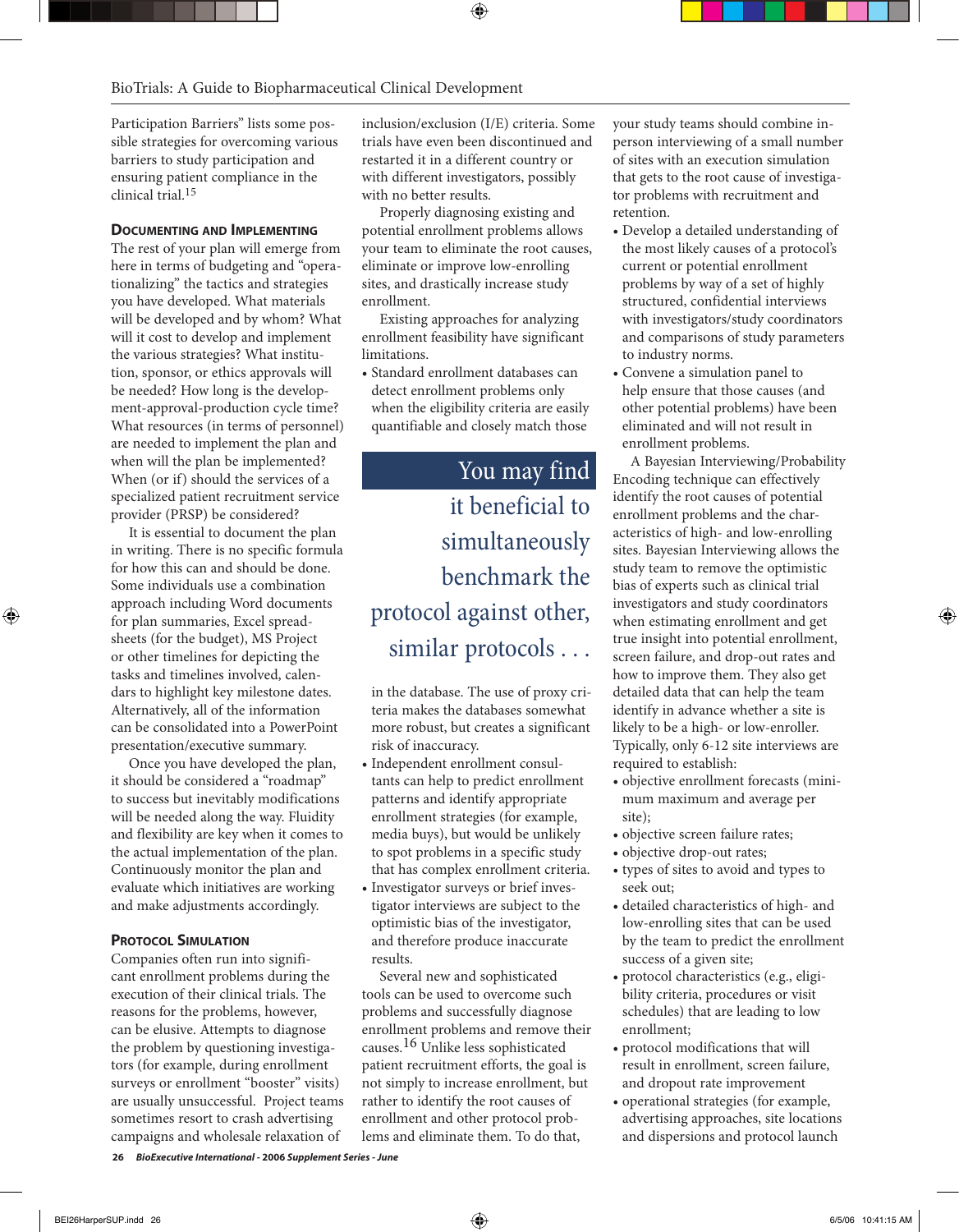Participation Barriers" lists some possible strategies for overcoming various barriers to study participation and ensuring patient compliance in the clinical trial.15

#### **DOCUMENTING AND IMPLEMENTING**

The rest of your plan will emerge from here in terms of budgeting and "operationalizing" the tactics and strategies you have developed. What materials will be developed and by whom? What will it cost to develop and implement the various strategies? What institution, sponsor, or ethics approvals will be needed? How long is the development-approval-production cycle time? What resources (in terms of personnel) are needed to implement the plan and when will the plan be implemented? When (or if) should the services of a specialized patient recruitment service provider (PRSP) be considered?

It is essential to document the plan in writing. There is no specific formula for how this can and should be done. Some individuals use a combination approach including Word documents for plan summaries, Excel spreadsheets (for the budget), MS Project or other timelines for depicting the tasks and timelines involved, calendars to highlight key milestone dates. Alternatively, all of the information can be consolidated into a PowerPoint presentation/executive summary.

Once you have developed the plan, it should be considered a "roadmap" to success but inevitably modifications will be needed along the way. Fluidity and flexibility are key when it comes to the actual implementation of the plan. Continuously monitor the plan and evaluate which initiatives are working and make adjustments accordingly.

#### **PROTOCOL SIMULATION**

Companies often run into significant enrollment problems during the execution of their clinical trials. The reasons for the problems, however, can be elusive. Attempts to diagnose the problem by questioning investigators (for example, during enrollment surveys or enrollment "booster" visits) are usually unsuccessful. Project teams sometimes resort to crash advertising campaigns and wholesale relaxation of

inclusion/exclusion (I/E) criteria. Some trials have even been discontinued and restarted it in a different country or with different investigators, possibly with no better results.

Properly diagnosing existing and potential enrollment problems allows your team to eliminate the root causes, eliminate or improve low-enrolling sites, and drastically increase study enrollment.

Existing approaches for analyzing enrollment feasibility have significant limitations.

• Standard enrollment databases can detect enrollment problems only when the eligibility criteria are easily quantifiable and closely match those

You may find it beneficial to simultaneously benchmark the protocol against other, similar protocols . . .

in the database. The use of proxy criteria makes the databases somewhat more robust, but creates a significant risk of inaccuracy.

- Independent enrollment consultants can help to predict enrollment patterns and identify appropriate enrollment strategies (for example, media buys), but would be unlikely to spot problems in a specific study that has complex enrollment criteria.
- Investigator surveys or brief investigator interviews are subject to the optimistic bias of the investigator, and therefore produce inaccurate results.

Several new and sophisticated tools can be used to overcome such problems and successfully diagnose enrollment problems and remove their causes.16 Unlike less sophisticated patient recruitment efforts, the goal is not simply to increase enrollment, but rather to identify the root causes of enrollment and other protocol problems and eliminate them. To do that,

your study teams should combine inperson interviewing of a small number of sites with an execution simulation that gets to the root cause of investigator problems with recruitment and retention.

- Develop a detailed understanding of the most likely causes of a protocol's current or potential enrollment problems by way of a set of highly structured, confidential interviews with investigators/study coordinators and comparisons of study parameters to industry norms.
- Convene a simulation panel to help ensure that those causes (and other potential problems) have been eliminated and will not result in enrollment problems.

A Bayesian Interviewing/Probability Encoding technique can effectively identify the root causes of potential enrollment problems and the characteristics of high- and low-enrolling sites. Bayesian Interviewing allows the study team to remove the optimistic bias of experts such as clinical trial investigators and study coordinators when estimating enrollment and get true insight into potential enrollment, screen failure, and drop-out rates and how to improve them. They also get detailed data that can help the team identify in advance whether a site is likely to be a high- or low-enroller. Typically, only 6-12 site interviews are required to establish:

- objective enrollment forecasts (minimum maximum and average per site);
- objective screen failure rates;
- objective drop-out rates;
- types of sites to avoid and types to seek out;
- detailed characteristics of high- and low-enrolling sites that can be used by the team to predict the enrollment success of a given site;
- protocol characteristics (e.g., eligibility criteria, procedures or visit schedules) that are leading to low enrollment;
- protocol modifications that will result in enrollment, screen failure, and dropout rate improvement
- operational strategies (for example, advertising approaches, site locations and dispersions and protocol launch